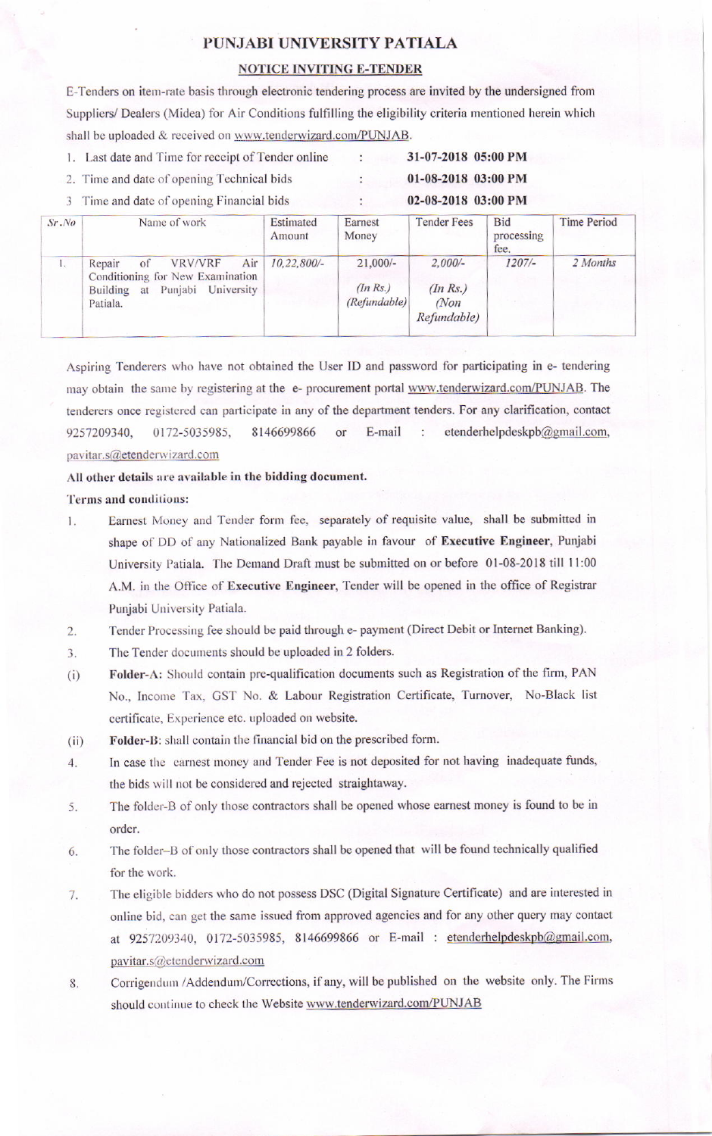# PUNJABI UNIVERSITY PATIALA

### **NOTICE INVITING E-TENDER**

E-Tenders on item-rate basis through electronic tendering process are invited by the undersigned from Suppliers/ Dealers (Midea) for Air Conditions fulfilling the eligibility criteria mentioned herein which shall be uploaded & received on www.tenderwizard.com/PUNJAB.

1. Last date and Time for receipt of Tender online

## 2. Time and date of opening Technical bids

3 Time and date of opening Financial bids

| Sr, No | Name of work                                                                                                                     | Estimated<br>Amount | Earnest<br>Money                      | <b>Tender Fees</b>                             | <b>Bid</b><br>processing<br>fee. | Time Period |
|--------|----------------------------------------------------------------------------------------------------------------------------------|---------------------|---------------------------------------|------------------------------------------------|----------------------------------|-------------|
| $1 -$  | Air<br><b>VRV/VRF</b><br>Repair<br>of<br>Conditioning for New Examination<br>Punjabi<br>University<br>Building<br>at<br>Patiala. | $10,22,800/$ -      | $21,000/-$<br>(InRs.)<br>(Refundable) | $2,000/-$<br>(In Rs.)<br>$M$ on<br>Refundable) | $1207/-$                         | 2 Months    |

Aspiring Tenderers who have not obtained the User ID and password for participating in e- tendering may obtain the same by registering at the e- procurement portal www.tenderwizard.com/PUNJAB. The tenderers once registered can participate in any of the department tenders. For any clarification, contact 9257209340, 0172-5035985, 8146699866 E-mail etenderhelpdeskpb@gmail.com,  $\alpha$ <sup>r</sup> ÷ pavitar.s@etenderwizard.com

#### All other details are available in the bidding document.

Terms and conditions:

- Earnest Money and Tender form fee, separately of requisite value, shall be submitted in 1. shape of DD of any Nationalized Bank payable in favour of Executive Engineer, Punjabi University Patiala. The Demand Draft must be submitted on or before 01-08-2018 till 11:00 A.M. in the Office of Executive Engineer, Tender will be opened in the office of Registrar Punjabi University Patiala.
- Tender Processing fee should be paid through e- payment (Direct Debit or Internet Banking).  $\overline{2}$ .
- 3. The Tender documents should be uploaded in 2 folders.
- Folder-A: Should contain pre-qualification documents such as Registration of the firm, PAN  $(i)$ No., Income Tax, GST No. & Labour Registration Certificate, Turnover, No-Black list certificate, Experience etc. uploaded on website.
- Folder-B: shall contain the financial bid on the prescribed form.  $(ii)$
- In case the earnest money and Tender Fee is not deposited for not having inadequate funds,  $\overline{4}$ . the bids will not be considered and rejected straightaway.
- The folder-B of only those contractors shall be opened whose earnest money is found to be in 5. order.
- The folder-B of only those contractors shall be opened that will be found technically qualified 6. for the work.
- The eligible bidders who do not possess DSC (Digital Signature Certificate) and are interested in 7. online bid, can get the same issued from approved agencies and for any other query may contact at 9257209340, 0172-5035985, 8146699866 or E-mail: etenderhelpdeskpb@gmail.com, pavitar.s@etenderwizard.com
- Corrigendum /Addendum/Corrections, if any, will be published on the website only. The Firms 8. should continue to check the Website www.tenderwizard.com/PUNJAB

31-07-2018 05:00 PM

01-08-2018 03:00 PM

02-08-2018 03:00 PM